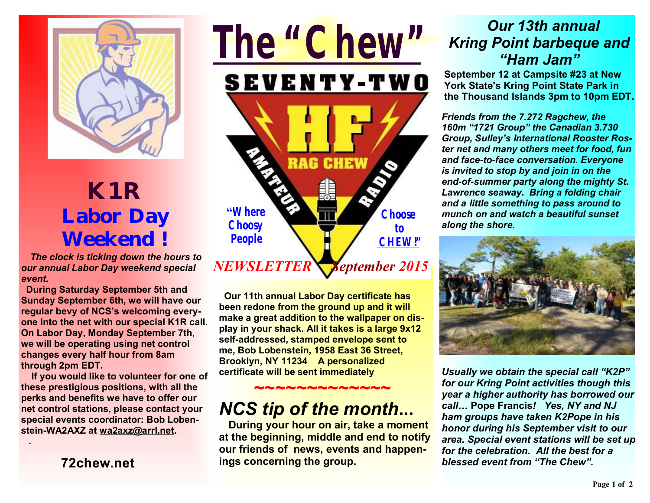

## **K1R Labor Day Weekend** *!*

*The clock is ticking down the hours to our annual Labor Day weekend special event.* 

 **During Saturday September 5th and Sunday September 6th, we will have our regular bevy of NCS's welcoming everyone into the net with our special K1R call. On Labor Day, Monday September 7th, we will be operating using net control changes every half hour from 8am through 2pm EDT.** 

 **If you would like to volunteer for one of these prestigious positions, with all the perks and benefits we have to offer our net control stations, please contact your special events coordinator: Bob Lobenstein-WA2AXZ at wa2axz@arrl.net.** 

**72chew.net**

 **.** 



**Our 11th annual Labor Day certificate has been redone from the ground up and it will make a great addition to the wallpaper on display in your shack. All it takes is a large 9x12 self-addressed, stamped envelope sent to me, Bob Lobenstein, 1958 East 36 Street, Brooklyn, NY 11234 A personalized certificate will be sent immediately**

## *NCS tip of the month***...**

 **During your hour on air, take a moment at the beginning, middle and end to notify our friends of news, events and happenings concerning the group.** 

 **~~~~~~~~~~~~~**

## *Our 13th annual Kring Point barbeque and "Ham Jam"*

**September 12 at Campsite #23 at New York State's Kring Point State Park in the Thousand Islands 3pm to 10pm EDT.**

*Friends from the 7.272 Ragchew, the 160m "1721 Group" the Canadian 3.730 Group, Sulley's International Rooster Roster net and many others meet for food, fun and face-to-face conversation. Everyone is invited to stop by and join in on the end-of-summer party along the mighty St. Lawrence seaway. Bring a folding chair and a little something to pass around to munch on and watch a beautiful sunset along the shore.* 



*Usually we obtain the special call "K2P" for our Kring Point activities though this year a higher authority has borrowed our call…* **Pope Francis***! Yes, NY and NJ ham groups have taken K2Pope in his honor during his September visit to our area. Special event stations will be set up for the celebration. All the best for a blessed event from "The Chew".*